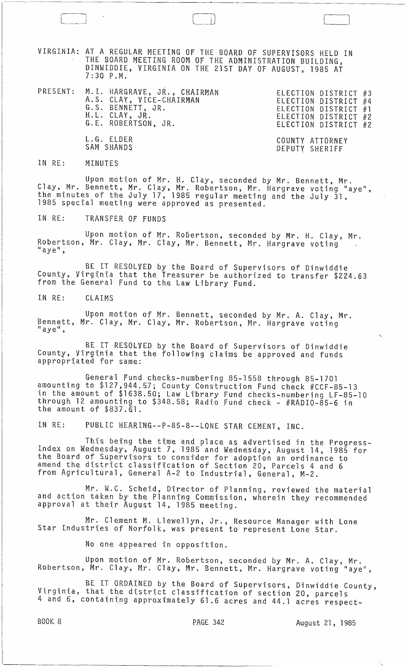VIRGINIA: AT A REGULAR MEETING OF THE BOARD OF SUPERVISORS HELD IN THE BOARD MEETING ROOM OF THE ADMINISTRATION BUILDING, DINWIDDIE, VIRGINIA ON THE 21ST DAY OF AUGUST, 1985 AT  $7:30$   $P.M.$ 

|  | PRESENT: M.I. HARGRAVE, JR., CHAIRMAN<br>A.S. CLAY, VICE-CHAIRMAN<br>G.S. BENNETT, JR.<br>H.L. CLAY, JR.<br>G.E. ROBERTSON, JR. | ELECTION DISTRICT #3<br>ELECTION DISTRICT #4<br>ELECTION DISTRICT #1<br>ELECTION DISTRICT #2<br>ELECTION DISTRICT #2 |
|--|---------------------------------------------------------------------------------------------------------------------------------|----------------------------------------------------------------------------------------------------------------------|
|  | L.G. ELDER<br>SAM SHANDS                                                                                                        | COUNTY ATTORNEY<br>DEPUTY SHERIFF                                                                                    |

## IN RE: MINUTES

Upon motion of Mr. H. Clay, seconded by Mr. Bennett, Mr.<br>Clay, Mr. Bennett, Mr. Clay, Mr. Robertson, Mr. Hargrave voting "aye",<br>the minutes of the July 17, 1985 regular meeting and the July 31,<br>1985 special meeting were ap

IN RE: TRANSFER OF FUNDS

Upon motion of Mr. Robertson, seconded by Mr. H. Clay, Mr. Robertson, Mr. Clay, Mr. Clay, Mr. Bennett, Mr. Hargrave voting "aye",

BE IT RESOLVED by the Board of Supervisors of Dinwiddie County, Virginia that the Treasurer be authorized to transfer \$224.63<br>from the General Fund to the Law Library Fund.

IN RE: CLAIMS

Upon motion of Mr. Bennett, seconded by Mr. A. Clay, Mr. Bennett, Mr. Clay, Mr. Clay, Mr. Robertson, Mr. Hargrave voting  $"$  aye",

BE IT RESOLVED by the Board of Supervisors of Dinwiddie County, Virginia that the following claims be approved and funds appropriated for same:

General Fund checks-numbering 85-1558 through 85-1701 amounting to \$127,944.57; County Construction Fund check #CCF-85-13<br>in the amount of \$1638.50; Law Library Fund checks-numbering LF-85-10 through 12 amounting to \$348.58; Radio Fund check - #RADIO-85-6 in<br>the amount of \$837.61.

PUBLIC HEARING--P-85-8--LONE STAR CEMENT, INC. IN RE:

This being the time and place as advertised in the Progress-<br>Index on Wednesday, August 7, 1985 and Wednesday, August 14, 1985 for<br>the Board of Supervisors to consider for adoption an ordinance to<br>amend the district classi from Agricultural, General A-2 to Industrial, General, M-2.

Mr. W.C. Scheid, Director of Planning, reviewed the material<br>and action taken by the Planning Commission, wherein they recommended approval at their August 14, 1985 meeting.

Mr. Clement M. Llewellyn, Jr., Resource Manager with Lone<br>Star Industries of Norfolk, was present to represent Lone Star.

No one appeared in opposition.

Upon motion of Mr. Robertson, seconded by Mr. A. Clay, Mr.<br>Robertson, Mr. Clay, Mr. Clay, Mr. Bennett, Mr. Hargrave voting "aye",

BE IT ORDAINED by the Board of Supervisors, Dinwiddie County, Virginia, that the district classification of section 20, parcels 4 and 6, containing approximately 61.6 acres and 44.1 acres respect-

**BOOK 8** 

August 21, 1985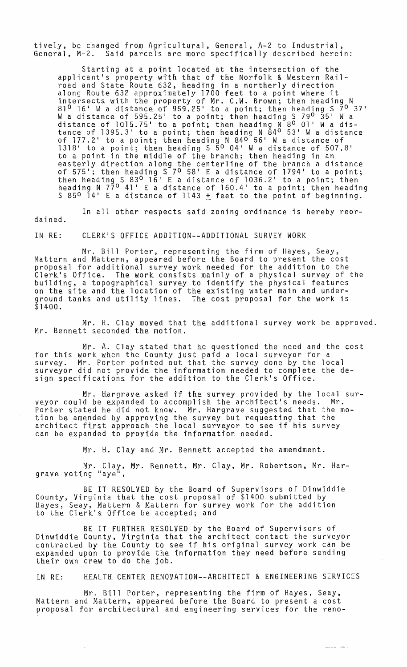tively, be changed from Agricultural, General, A-2 to Industrial, Said parcels are more specifically described herein:

Starting at a point located at the intersection of the applicant's property with that of the Norfolk & Western Railroad and State Route 632, heading in a northerly direction along Route 632 approximately 1700 feet to a point where it intersects with the property of Mr. C.W. Brown; then heading N  $81^{\circ}$  16' W a distance of 959.25' to a point; then heading S  $7^{\circ}$  37' of it we also meet of 595.25 to a point; then heading S 79<sup>0</sup> 35' W a distance of  $1015.75$  to a point; then heading  $N$  8<sup>0</sup> 01 W a disarstance of 1395.3' to a point; then heading N 84<sup>0</sup> 53' W a distance cance of 1993.9 to a point; then heading N 840 56' W a distance of  $1318'$  to a point; then heading  $S_50'04'$  W a distance of  $507.8'$ to a point in the middle of the branch; then heading in an easterly direction along the centerline of the branch a distance Lasterly direction along the centerline of the branch a distance<br>of 575'; then heading S 7<sup>0</sup> 58' E a distance of 1794' to a point; then heading S  $83^{\circ}$  16' E a distance of  $1036.2'$  to a point; then end heading N 77<sup>0</sup> 41' E a distance of 160.4' to a point; then heading  $S$  85<sup>0</sup> 14' E a distance of 1143  $\pm$  feet to the point of beginning.

In all other respects said zoning ordinance is hereby reordained.

IN RE: CLERK'S OFFICE ADDITION--ADDITIONAL SURVEY WORK

Mr. Bill Porter, representing the firm of Hayes, Seay, Mattern and Mattern, appeared before the Board to present the cost proposal for additional survey work needed for the addition to the Clerkls Office. The work consists mainly of a physical survey of the building, a topographical survey to identify the physical features on the site and the location of the existing water main and underground tanks and utility lines. The cost proposal for the work is \$1400.

 $\texttt{Mr. H.}$  Clay moved that the additional survey work be approved. Mr. Bennett seconded the motion.

Mr. A. Clay stated that he questioned the need and the cost for this work when the County just paid a local surveyor for a survey. Mr. Porter pointed out that the survey done by the local surveyor did not provide the information needed to complete the design specifications for the addition to the Clerk's Office.

Mr. Hargraye asked if the survey provided by the local sur-<br>d be expanded to accomplish the architect's needs. Mr. veyor could be expanded to accomplish the architect's needs. Porter stated he did not know. Mr. Hargrave suggested that the motion be amended by approving the survey but requesting that the architect first approach the local surveyor to see if his survey can be expanded to provide the information needed.

Mr. H. Clay and Mr. Bennett accepted the amendment.

Mr. Clay, Mr. Bennett, Mr. Clay, Mr. Robertson, Mr. Hargrave voting "aye<sup>n</sup>,

BE IT RESOLVED by the Board of Supervisors of Dinwiddie County, Virginia that the cost proposal of \$1400 submitted by Hayes, Seay, Mattern & Mattern for survey work for the addition nayes, seay, mattern a mattern for sur<br>to the Clerk's Office be accepted; and

BE IT FURTHER RESOLVED by the Board of Supervisors of Dinwiddie County, Virginia that the architect contact the surveyor contracted by the County to see if his original survey work can be expanded upon to provtde the information they need before sending their own crew to do the jab.

IN RE: HEALTH CENTER RENOVATION--ARCHITECT & ENGINEERING SERVICES

يتبرز المرتب

Mr. Bill Porter, representing the firm of Hayes, Seay, Mattern and Mattern, appeared before the Board to present a cost proposal for architectural and engineering services for the reno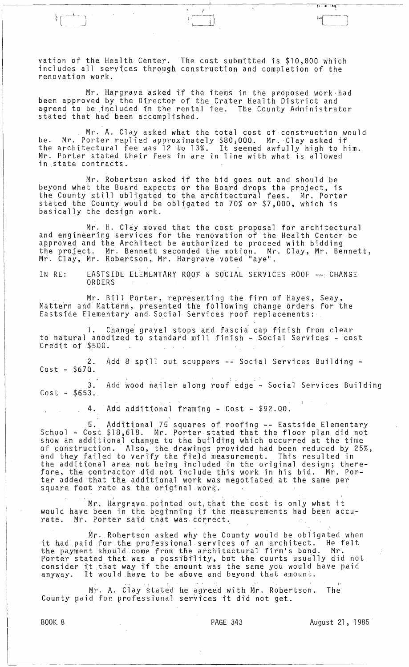vation of the Health Center. The cost submitted is \$10,800 which includes all services through construction and completion of the renovation work.

Mr. Hargrave asked if the items in the proposed work had been approved by the Director of the Crater Health District and agreed to be included in the rental fee. The County Administrator stated that had been accomplished.

Mr. A. Clay asked what the total cost of construction would be. Mr. Porter replied approximately \$80,000. Mr. Clay asked if<br>the architectural fee was 12 to 13%. It seemed awfully high to him.<br>Mr. Porter stated their fees in are in line with what is allowed in state contracts.

Mr. Robertson asked if the bid goes out and should be<br>beyond what the Board expects or the Board drops the project, is<br>the County still obligated to the architectural fees. Mr. Porter stated the County would be obligated to 70% or \$7,000, which is basically the design work.

Mr. H. Clay moved that the cost proposal for architectural<br>and engineering services for the renovation of the Health Center be approved and the Architect be authorized to proceed with bidding the project. Mr. Bennett seconded the motion. Mr. Clay, Mr. Bennett, Mr. Clay, Mr. Robertson, Mr. Hargrave voted "aye".

EASTSIDE ELEMENTARY ROOF & SOCIAL SERVICES ROOF -- CHANGE IN RE: ORDERS

Mr. Bill Porter, representing the firm of Hayes, Seay,<br>Mattern and Mattern, presented the following change orders for the<br>Eastside Elementary and Social Services roof replacements:

1. Change gravel stops and fascia cap finish from clear<br>to natural anodized to standard mill finish - Social Services - cost Credit of \$500.

2. Add 8 spill out scuppers -- Social Services Building - $Cost - $670.$ 

Add wood nailer along roof edge - Social Services Building  $3.$  $Cost - $653...$ 

Add additional framing - Cost - \$92.00. 4.  $\sim$   $\mu$ 

5. Additional 75 squares of roofing -- Eastside Elementary<br>School - Cost \$18,618. Mr. Porter stated that the floor plan did not<br>show an additional change to the building which occurred at the time of construction. Also, the drawings provided had been reduced by 25%,<br>and they failed to verify the field measurement. This resulted in<br>the additional area not being included in the original design; there-<br>fore, the contra square foot rate as the original work.

Mr. Hargrave pointed out that the cost is only what it would have been in the beginning if the measurements had been accurate. Mr. Porter said that was correct.

Mr. Robertson asked why the County would be obligated when it had paid for the professional services of an architect. He felt the payment should come from the architectural firm's bond. Mr.<br>Porter stated that was a possibility, but the courts usually did not<br>consider it that way if the amount was the same you would have paid<br>anyway. It would have

Mr. A. Clay stated he agreed with Mr. Robertson. The County paid for professional services it did not get.

**BOOK 8** 

August 21, 1985

【2014年10期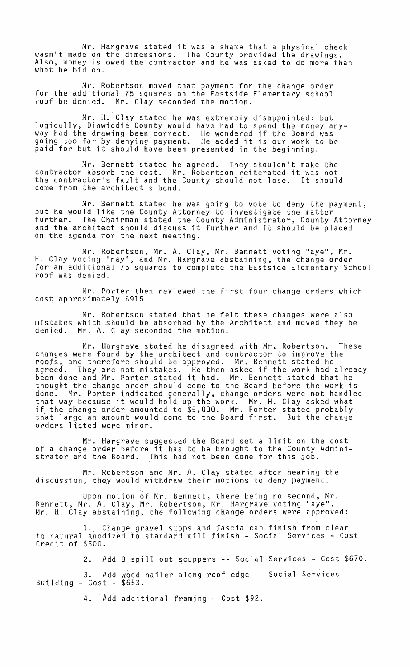Mr. Hargrave stated it was a shame that a physical check wasn't made on the dimensions. The County provided the drawings. Also, money is owed the contractor and he was asked to do more than what he bid on.

Mr. Robertson moved that payment for the change order for the additional 75 squares on the Eastside Elementary school roof be denied. Mr. Clay seconded the motion.

Mr. H. Clay stated he was extremely disappointed; but logically, Dinwiddie County would have had to spend the money anyway had the drawing been correct. He wondered if the Board was going too far by denying payment. He added it is our work to be paid for but it should have been presented in the beginning.

Mr. Bennett stated he agreed. They shouldn't make the contractor absorb the cost. Mr. Robertson reiterated it was not the contractor's fault and the County should not lose. It should come from the architect's bond.

 $Mr.$  Bennett stated he was going to vote to deny the payment, but he would like the County Attorney to investigate the matter further. The Chairman stated the County Administrator, County Attorney and the architect should discuss it further and it should be placed on the agenda for the next meeting.

Mr. Robertson, Mr. A. Clay, Mr. Bennett voting "aye", Mr. H. Clay voting "nay", and Mr. Hargrave abstaining, the change order for an additional 75 squares to complete the Eastside Elementary School roof was denied.

Mr. Porter then reviewed the first four change orders which cost approximately \$915.

Mr. Robertson stated that he felt these changes were also mistakes which should be absorbed by the Architect and moved they be denied. Mr. A. Clay seconded the motion. Mr. A. Clay seconded the motion.

Mr. Hargrave stated he disagreed with Mr. Robertson. These changes were found by the architect and contractor to improve the roofs, and therefore should be approved. Mr. Bennett stated he agreed. They are not mistakes. He then asked if the work had already been done and Mr. Porter stated it had. Mr. Bennett stated that he thought the change order should come to the Board before the work is done. Mr. Porter indicated generally, change orders were not handled that way because it would hold up the work. Mr. H. Clay asked what that way because it would hold up the work. Mr. H. Clay asked what<br>if the change order amounted to \$5,000. Mr. Porter stated probably that large an amount would come to the Board first. But the change orders listed were minor.

Mr. Hargrave suggested the Board set a limit on the cost of a change order before it has to be brought to the County Administrator and the Board. This had not been done for this job.

Mr. Robertson and Mr. A. Clay stated after hearing the discussion, they would withdraw their motions to deny payment.

Upon motion of Mr. Bennett, there being no second, Mr. Bennett, Mr. A., Clay, Mr. Robertson, Mr. Hargrave voting "aye", Mr. H. Clay abstaining, the following change orders were approved:

1. Change gravel stops and fascia cap finish from clear to natural anodized to standard mill finish - Social Services - Cost Credit of \$500.

2. Add 8 spill out scuppers -- Social Services - Cost \$670.

3. Add wood nailer along roof edge -- Social Services Building -  $Cost - $653$ .

4. Add additional framing - Cost \$92.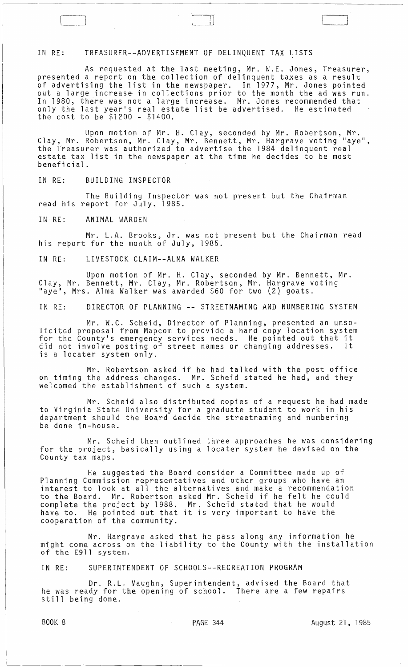## IN RE: TREASURER--ADVERTISEMENT OF DELINQUENT TAX LISTS

As requested at the last meeting, Mr. W.E. Jones, Treasurer, presented a report on the collection of delinquent taxes as a result of advertising the list in the newspaper. In 1977, Mr. Jones pointed out a large increase in collections prior to the month the ad was run. In 1980, there was not a large increase. Mr. Jones recommended that In 1980, the last year's real estate list be advertised. He estimated the cost to be \$1200 - \$1400.

Upon motion of Mr. H. Clay, seconded by Mr. Robertson, Mr. Clay, Mr. Robertson, Mr. Clay, Mr. Bennett, Mr. Hargrave voting "aye", the Treasurer was authorized to advertise the 1984 delinquent real estate tax list in the newspaper at the time he decides to be most beneficial.

IN RE: BUILDING INSPECTOR

The Building Inspector was not present but the Chairman read his report for July, 1985.

IN RE: ANIMAL WARDEN

Mr. L.A. Brooks, Jr. was not present but the Chairman read his report for the month of July, 1985.

IN RE: LIVESTOCK CLAIM--ALMA WALKER

Upon motion of Mr. H. Clay, seconded by Mr. Bennett, Mr. Clay, Mr. Bennett, Mr. Clay, Mr. Robertson, Mr. Hargrave voting "aye", Mrs. Alma Walker was awarded \$60 for two (2) goats.

IN RE: DIRECTOR OF PLANNING **--** STREETNAMING AND NUMBERING SYSTEM

Mr. W.C. Scheid, Director of Planning, presented an unso-1icited proposal from Mapcom to provide a hard copy location system for the County's emergency services needs. He pointed out that it did not involve posting of street names or changing addresses. It is a locater system only.

Mr. Robertson asked if he had talked with the post office on timing the address changes. Mr. Scheid stated he had, and they welcomed the establishment of such a system.

Mr. Scheid also distributed copies of a request he had made to Virginia State University for a graduate student to work in his department should the Board decide the streetnaming and numbering be done in-house.

Mr. Scheid then outlined three approaches he was considering for the project, basically using a locater system he devised on the County tax maps.

He suggested the Board consider a Committee made up of Planning Commission representatives and other groups who have an interest to look at all the alternatives and make a recommendation to the Board. Mr. Robertson asked Mr. Scheid if he felt he could complete the project by 1988. Mr. Scheid stated that he would have to. He pointed out that it is very important to have the cooperation of the community.

Mr. Hargrave asked that he pass along any information he might come across on the liability to the County with the installation of the E911 system.

IN RE.: SUPERINTENDENT OF SCHOOLS--RECREATION PROGRAM

Dr. R.L. Vaughn, Superintendent, advised the Board that he was ready for the opening of school. There are a few repairs ne was ready for<br>still being done.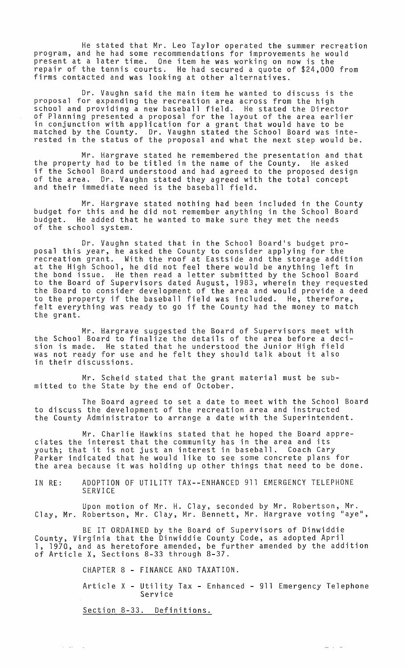He stated that Mr. Leo Taylor operated the summer recreation program, and he had some recommendations for improvements he would present at a later time. One item he was working on now is the repair of the tennis courts. He had secured a quote of \$24,000 from firms contacted and was looking at other alternatives.

Dr. Vaughn said the main item he wanted to discuss is the proposal for expanding the recreation area across from the high school and providing a new baseball field. He stated the Director of Planning presented a proposal for the layout of the area earlier in conjunction with application for a grant that would have to be matched by the County. Dr. Vaughn stated the School Board was interested in the status of the proposal and what the next step would be.

Mr. Hargrave stated he remembered the presentation and that the property had to be titled in the name of the County. He asked if the School Board understood and had agreed to the proposed design of the area. Dr. Vaughn stated they agreed with the total concept and their immediate need is the baseball field.

Mr. Hargrave stated nothing had been included in the County budget for this and he did not remember anything in the School Board budget. He added that he wanted to make sure they met the needs of the school system.

Dr. Vaughn stated that in the School Board's budget proposal this year, he asked the County to consider applying for the recreation grant. With the roof at Eastside and the storage addition at the High School, he did not feel there would be anything left in the bond issue. He then read a letter submitted by the School Board to the Board of Supervisors dated August, 1983, wherein they requested the Board to consider development of the area and would provide a deed to the property if the baseball field was included. He, therefore, felt everything was ready to go if the County had the money to match the grant.

Mr. Hargrave suggested the Board of Supervisors meet with the School Board to finalize the details of the area before a decision is made. He stated that he understood the Junior High field was not ready for use and he felt they should talk about it also in their discussions.

Mr. Scheid stated that the grant material must be submitted to the State by the end of October.

The Board agreed to set a date to meet with the School Board to discuss the development of the recreation area and instructed the County Administrator to arrange a date with the Superintendent.

Mr. Charlie Hawkins stated that he hoped the Board appreciates the interest that the community has in the area and its youth; that it is not just an interest in baseball. Coach Cary Parker indicated that he would like to see some concrete plans for the area because it was holding up other things that need to be done.

IN RE: ADOPTION OF UTILITY TAX--ENHANCED 911 EMERGENCY TELEPHONE SERVICE

Upon motion of Mr. H. Clay, seconded by Mr. Robertson, Mr. Clay, Mr. Robertson, Mr. Clay, Mr. Bennett, Mr. Hargrave voting "aye",

BE IT ORDAINED by the Board of Supervisors of Dinwiddie County, Virginia that the Dinwiddie County Code, as adopted April 1, 197Q, and as heretofore amended, be further amended by the addition of Article X, Sections 8-33 through 8-37.

CHAPTER 8 - FINANCE AND TAXATION.

Article X - Utility Tax - Enhanced - 911 Emergency Telephone Service

22 i 24

Section 8-33. Definitions.

 $\alpha$  ) and  $\beta$  )  $\alpha$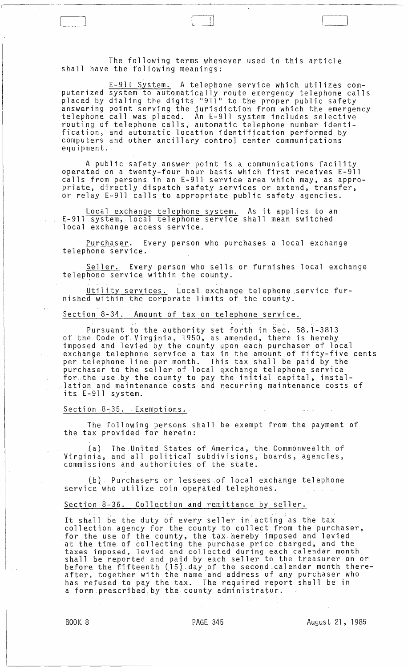The following terms whenever used in this article shall have the following meanings:

 $\Box$ 

E-911 System. A telephone service which utilizes computerized system to automatically route emergency telephone calls placed by dialing the digits "911" to the proper public safety answering point serving the jurisdiction from which the emergency telephone call was placed. An E-911 system includes selective routing of telephone calls, automatic telephone number identification, and automatic location identification performed by 'computers and other ancillary control center communications equipment.

A public safety answer point is a communications facility operated on a twenty-four hour basis which first receives E-911 calls from persons in an E-911 service area which may, as appropriate, directly dispatch safety services or extend, transfer, or relay E-911 calls to appropriate public safety agencies.

Local exchange telephone system. As it applies to an E-911 system, local telephone service shall mean switched local exchange access service.

Purchaser. Every person who purchases a local exchange telephone service.

Seller. Every person who sells or furnishes local exchange telephone service within the county.

Utility services. Local exchange telephone service furnished within the corporate limits of the county .

Section 8-34. Amount of tax on telephone service.

Pursuant to the authority set forth in Sec. 58.1-3813 of the Code of Virginia, 1950, as amended, there is hereby imposed and levied by the county upon each purchaser of local exchange telephone service a tax in the amount of fifty-five cents per telephone line per month. This tax shall be paid by the purchaser to the seller of local exchange telephone service for the use by the county to pay the initial capital, instal-1ation and maintenance costs and recurring maintenance costs of its E-911 system.

 $\sim$   $\sim$ 

## Section 8-35. Exemptions.

The following persons shall be exempt from the payment of the tax provided for herein:

(a). The ,United States of America, the Commonwealth of Virginia, and all political subdivisions, boards, agencies, commissions and authorities of the state.

(b) Purchasers or lessees of local exchange telephone service who utilize coin operated telephones.

## Section 8-36. Collection and remittance by seller.

It shall be the duty of every seller in acting as the tax collection agency for the county to collect from the purchaser, for the use of the county, the tax hereby imposed and levied at the time of collecting the purchase price charged, and the taxes imposed, levied and collected during each calendar month shall be reported and paid by each seller to the treasurer on or before the fifteenth C15}.day.of the second-calendar month thereafter, together with the name and address of any purchaser who has refused to pay the tax. The required report shall be in a form prescribed, by the county administrator.

 $\cdot$  ;  $\cdot$ 

 $\pm$  .